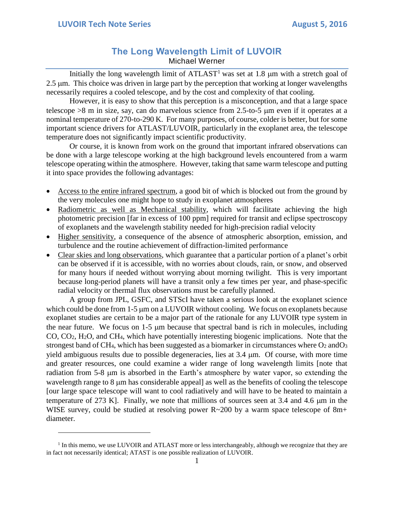$\overline{a}$ 

## **The Long Wavelength Limit of LUVOIR** Michael Werner

Initially the long wavelength limit of  $ATLAST<sup>1</sup>$  was set at 1.8  $\mu$ m with a stretch goal of 2.5 µm. This choice was driven in large part by the perception that working at longer wavelengths necessarily requires a cooled telescope, and by the cost and complexity of that cooling.

However, it is easy to show that this perception is a misconception, and that a large space telescope >8 m in size, say, can do marvelous science from 2.5-to-5 m even if it operates at a nominal temperature of 270-to-290 K. For many purposes, of course, colder is better, but for some important science drivers for ATLAST/LUVOIR, particularly in the exoplanet area, the telescope temperature does not significantly impact scientific productivity.

Or course, it is known from work on the ground that important infrared observations can be done with a large telescope working at the high background levels encountered from a warm telescope operating within the atmosphere. However, taking that same warm telescope and putting it into space provides the following advantages:

- Access to the entire infrared spectrum, a good bit of which is blocked out from the ground by the very molecules one might hope to study in exoplanet atmospheres
- Radiometric as well as Mechanical stability, which will facilitate achieving the high photometric precision [far in excess of 100 ppm] required for transit and eclipse spectroscopy of exoplanets and the wavelength stability needed for high-precision radial velocity
- Higher sensitivity, a consequence of the absence of atmospheric absorption, emission, and turbulence and the routine achievement of diffraction-limited performance
- Clear skies and long observations, which guarantee that a particular portion of a planet's orbit can be observed if it is accessible, with no worries about clouds, rain, or snow, and observed for many hours if needed without worrying about morning twilight. This is very important because long-period planets will have a transit only a few times per year, and phase-specific radial velocity or thermal flux observations must be carefully planned.

A group from JPL, GSFC, and STScI have taken a serious look at the exoplanet science which could be done from  $1-5 \mu m$  on a LUVOIR without cooling. We focus on exoplanets because exoplanet studies are certain to be a major part of the rationale for any LUVOIR type system in the near future. We focus on  $1-5 \mu m$  because that spectral band is rich in molecules, including CO, CO2, H2O, and CH4, which have potentially interesting biogenic implications. Note that the strongest band of CH<sub>4</sub>, which has been suggested as a biomarker in circumstances where  $O_2$  and  $O_3$ yield ambiguous results due to possible degeneracies, lies at 3.4 m. Of course, with more time and greater resources, one could examine a wider range of long wavelength limits [note that radiation from 5-8  $\mu$ m is absorbed in the Earth's atmosphere by water vapor, so extending the wavelength range to  $8 \mu m$  has considerable appeal] as well as the benefits of cooling the telescope [our large space telescope will want to cool radiatively and will have to be heated to maintain a temperature of 273 K]. Finally, we note that millions of sources seen at 3.4 and 4.6  $\mu$ m in the WISE survey, could be studied at resolving power R~200 by a warm space telescope of 8m+ diameter.

<sup>&</sup>lt;sup>1</sup> In this memo, we use LUVOIR and ATLAST more or less interchangeably, although we recognize that they are in fact not necessarily identical; ATAST is one possible realization of LUVOIR.